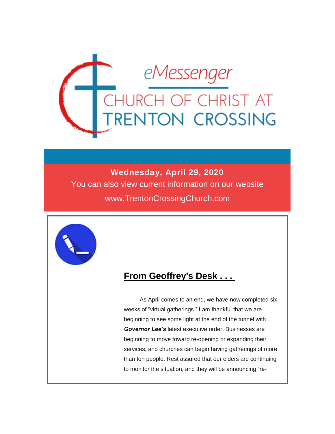

#### **Wednesday, April 29, 2020**

You can also view current information on our website www.TrentonCrossingChurch.com



### **From Geoffrey's Desk . . .**

As April comes to an end, we have now completed six weeks of "virtual gatherings." I am thankful that we are beginning to see some light at the end of the tunnel with *Governor Lee's* latest executive order. Businesses are beginning to move toward re-opening or expanding their services, and churches can begin having gatherings of more than ten people. Rest assured that our elders are continuing to monitor the situation, and they will be announcing "re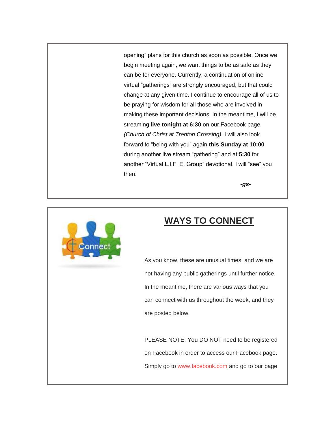opening" plans for this church as soon as possible. Once we begin meeting again, we want things to be as safe as they can be for everyone. Currently, a continuation of online virtual "gatherings" are strongly encouraged, but that could change at any given time. I continue to encourage all of us to be praying for wisdom for all those who are involved in making these important decisions. In the meantime, I will be streaming **live tonight at 6:30** on our Facebook page *(Church of Christ at Trenton Crossing).* I will also look forward to "being with you" again **this Sunday at 10:00** during another live stream "gathering" and at **5:30** for another "Virtual L.I.F. E. Group" devotional. I will "see" you then.

*-gs-*



### **WAYS TO CONNECT**

As you know, these are unusual times, and we are not having any public gatherings until further notice. In the meantime, there are various ways that you can connect with us throughout the week, and they are posted below.

PLEASE NOTE: You DO NOT need to be registered on Facebook in order to access our Facebook page. Simply go to [www.facebook.com](http://www.facebook.com/) and go to our page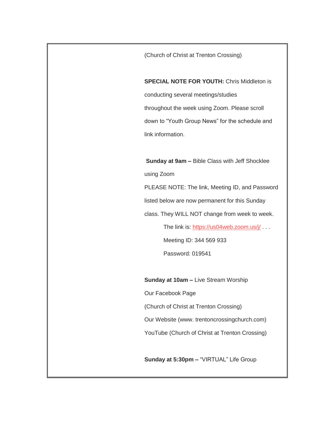(Church of Christ at Trenton Crossing)

**SPECIAL NOTE FOR YOUTH:** Chris Middleton is conducting several meetings/studies throughout the week using Zoom. Please scroll down to "Youth Group News" for the schedule and link information.

**Sunday at 9am –** Bible Class with Jeff Shocklee using Zoom PLEASE NOTE: The link, Meeting ID, and Password

listed below are now permanent for this Sunday

class. They WILL NOT change from week to week.

The link is:<https://us04web.zoom.us/j/> . . . Meeting ID: 344 569 933 Password: 019541

**Sunday at 10am - Live Stream Worship** 

Our Facebook Page

(Church of Christ at Trenton Crossing)

Our Website (www. trentoncrossingchurch.com)

YouTube (Church of Christ at Trenton Crossing)

**Sunday at 5:30pm –** "VIRTUAL" Life Group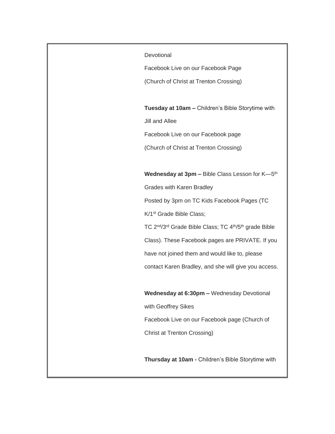**Devotional** 

Facebook Live on our Facebook Page

(Church of Christ at Trenton Crossing)

**Tuesday at 10am –** Children's Bible Storytime with Jill and Allee Facebook Live on our Facebook page

(Church of Christ at Trenton Crossing)

**Wednesday at 3pm –** Bible Class Lesson for K—5 th

Grades with Karen Bradley

Posted by 3pm on TC Kids Facebook Pages (TC

K/1st Grade Bible Class;

TC 2nd/3rd Grade Bible Class; TC 4th/5th grade Bible

Class). These Facebook pages are PRIVATE. If you

have not joined them and would like to, please

contact Karen Bradley, and she will give you access.

**Wednesday at 6:30pm –** Wednesday Devotional

with Geoffrey Sikes

Facebook Live on our Facebook page (Church of

Christ at Trenton Crossing)

**Thursday at 10am -** Children's Bible Storytime with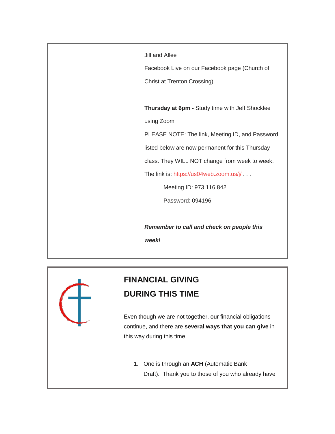Jill and Allee

Facebook Live on our Facebook page (Church of Christ at Trenton Crossing)

**Thursday at 6pm -** Study time with Jeff Shocklee

using Zoom

PLEASE NOTE: The link, Meeting ID, and Password

listed below are now permanent for this Thursday

class. They WILL NOT change from week to week.

The link is:<https://us04web.zoom.us/j/> . . .

Meeting ID: 973 116 842

Password: 094196

*Remember to call and check on people this* 

*week!*



## **FINANCIAL GIVING DURING THIS TIME**

Even though we are not together, our financial obligations continue, and there are **several ways that you can give** in this way during this time:

1. One is through an **ACH** (Automatic Bank Draft). Thank you to those of you who already have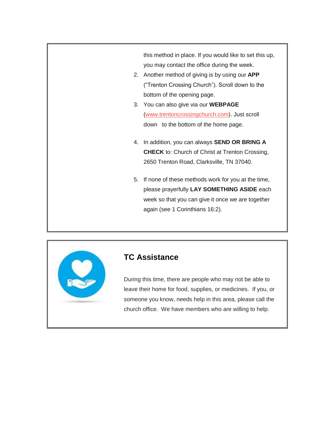this method in place. If you would like to set this up, you may contact the office during the week.

- 2. Another method of giving is by using our **APP** ("Trenton Crossing Church"). Scroll down to the bottom of the opening page.
- 3. You can also give via our **WEBPAGE** [\(www.trentoncrossingchurch.com\)](http://www.trentoncrossingchurch.com/). Just scroll down to the bottom of the home page.
- 4. In addition, you can always **SEND OR BRING A CHECK** to: Church of Christ at Trenton Crossing, 2650 Trenton Road, Clarksville, TN 37040.
- 5. If none of these methods work for you at the time, please prayerfully **LAY SOMETHING ASIDE** each week so that you can give it once we are together again (see 1 Corinthians 16:2).



#### **TC Assistance**

During this time, there are people who may not be able to leave their home for food, supplies, or medicines. If you, or someone you know, needs help in this area, please call the church office. We have members who are willing to help.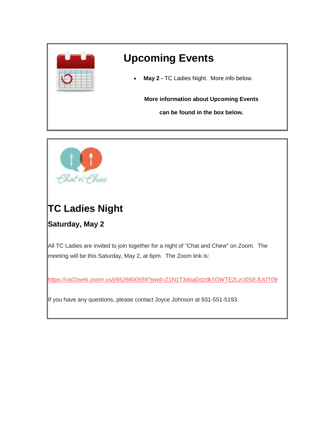



# **TC Ladies Night**

### **Saturday, May 2**

All TC Ladies are invited to join together for a night of "Chat and Chew" on Zoom. The meeting will be this Saturday, May 2, at 6pm. The Zoom link is:

<https://us02web.zoom.us/j/6626600559?pwd=Z1N1T3doaDdzdk1GWTE2LzU0SEJUUT09>

If you have any questions, please contact Joyce Johnson at 931-551-5193.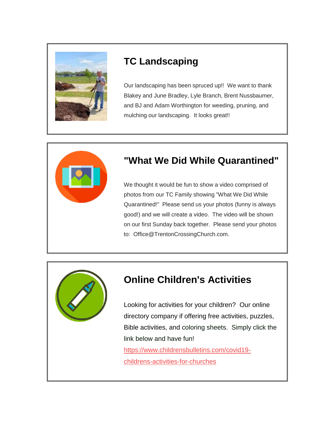

## **TC Landscaping**

Our landscaping has been spruced up!! We want to thank Blakey and June Bradley, Lyle Branch, Brent Nussbaumer, and BJ and Adam Worthington for weeding, pruning, and mulching our landscaping. It looks great!!



## **"What We Did While Quarantined"**

We thought it would be fun to show a video comprised of photos from our TC Family showing "What We Did While Quarantined!" Please send us your photos (funny is always good!) and we will create a video. The video will be shown on our first Sunday back together. Please send your photos to: Office@TrentonCrossingChurch.com.



## **Online Children's Activities**

Looking for activities for your children? Our online directory company if offering free activities, puzzles, Bible activities, and coloring sheets. Simply click the link below and have fun! [https://www.childrensbulletins.com/covid19-](https://www.childrensbulletins.com/covid19-childrens-activities-for-churches)

[childrens-activities-for-churches](https://www.childrensbulletins.com/covid19-childrens-activities-for-churches)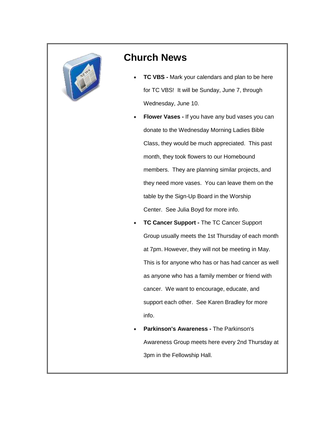

### **Church News**

- **TC VBS -** Mark your calendars and plan to be here for TC VBS! It will be Sunday, June 7, through Wednesday, June 10.
- **Flower Vases -** If you have any bud vases you can donate to the Wednesday Morning Ladies Bible Class, they would be much appreciated. This past month, they took flowers to our Homebound members. They are planning similar projects, and they need more vases. You can leave them on the table by the Sign-Up Board in the Worship Center. See Julia Boyd for more info.
- **TC Cancer Support -** The TC Cancer Support Group usually meets the 1st Thursday of each month at 7pm. However, they will not be meeting in May. This is for anyone who has or has had cancer as well as anyone who has a family member or friend with cancer. We want to encourage, educate, and support each other. See Karen Bradley for more info.
- **Parkinson's Awareness -** The Parkinson's Awareness Group meets here every 2nd Thursday at 3pm in the Fellowship Hall.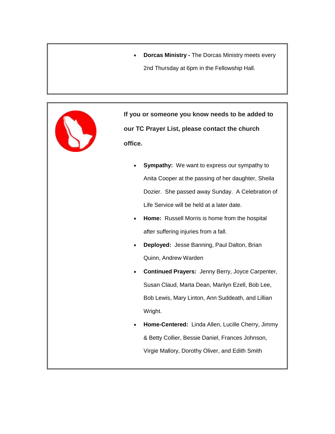**Dorcas Ministry -** The Dorcas Ministry meets every 2nd Thursday at 6pm in the Fellowship Hall.



**If you or someone you know needs to be added to our TC Prayer List, please contact the church office.**

- **Sympathy:** We want to express our sympathy to Anita Cooper at the passing of her daughter, Sheila Dozier. She passed away Sunday. A Celebration of Life Service will be held at a later date.
- **Home:** Russell Morris is home from the hospital after suffering injuries from a fall.
- **Deployed:** Jesse Banning, Paul Dalton, Brian Quinn, Andrew Warden
- **Continued Prayers:** Jenny Berry, Joyce Carpenter, Susan Claud, Marta Dean, Marilyn Ezell, Bob Lee, Bob Lewis, Mary Linton, Ann Suddeath, and Lillian Wright.
- **Home-Centered:** Linda Allen, Lucille Cherry, Jimmy & Betty Collier, Bessie Daniel, Frances Johnson, Virgie Mallory, Dorothy Oliver, and Edith Smith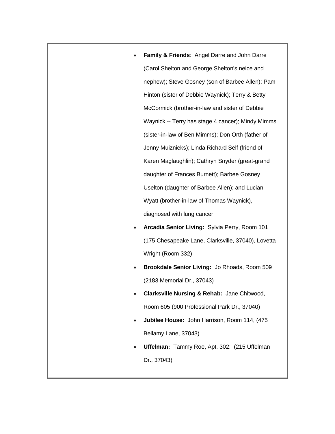- **Family & Friends**: Angel Darre and John Darre (Carol Shelton and George Shelton's neice and nephew); Steve Gosney (son of Barbee Allen); Pam Hinton (sister of Debbie Waynick); Terry & Betty McCormick (brother-in-law and sister of Debbie Waynick -- Terry has stage 4 cancer); Mindy Mimms (sister-in-law of Ben Mimms); Don Orth (father of Jenny Muiznieks); Linda Richard Self (friend of Karen Maglaughlin); Cathryn Snyder (great-grand daughter of Frances Burnett); Barbee Gosney Uselton (daughter of Barbee Allen); and Lucian Wyatt (brother-in-law of Thomas Waynick), diagnosed with lung cancer.
- **Arcadia Senior Living:** Sylvia Perry, Room 101 (175 Chesapeake Lane, Clarksville, 37040), Lovetta Wright (Room 332)
- **Brookdale Senior Living:** Jo Rhoads, Room 509 (2183 Memorial Dr., 37043)
- **Clarksville Nursing & Rehab:** Jane Chitwood, Room 605 (900 Professional Park Dr., 37040)
- **Jubilee House:** John Harrison, Room 114, (475 Bellamy Lane, 37043)
- **Uffelman:** Tammy Roe, Apt. 302: (215 Uffelman Dr., 37043)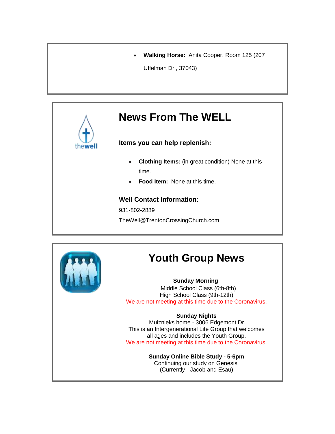**Walking Horse:** Anita Cooper, Room 125 (207

Uffelman Dr., 37043)

# **News From The WELL**

**Items you can help replenish:**

- **Clothing Items:** (in great condition) None at this time.
- **Food Item:** None at this time.

#### **Well Contact Information:**

931-802-2889

TheWell@TrentonCrossingChurch.com



# **Youth Group News**

#### **Sunday Morning**

Middle School Class (6th-8th) High School Class (9th-12th) We are not meeting at this time due to the Coronavirus.

#### **Sunday Nights**

Muiznieks home - 3006 Edgemont Dr. This is an Intergenerational Life Group that welcomes all ages and includes the Youth Group. We are not meeting at this time due to the Coronavirus.

> **Sunday Online Bible Study - 5-6pm** Continuing our study on Genesis (Currently - Jacob and Esau)